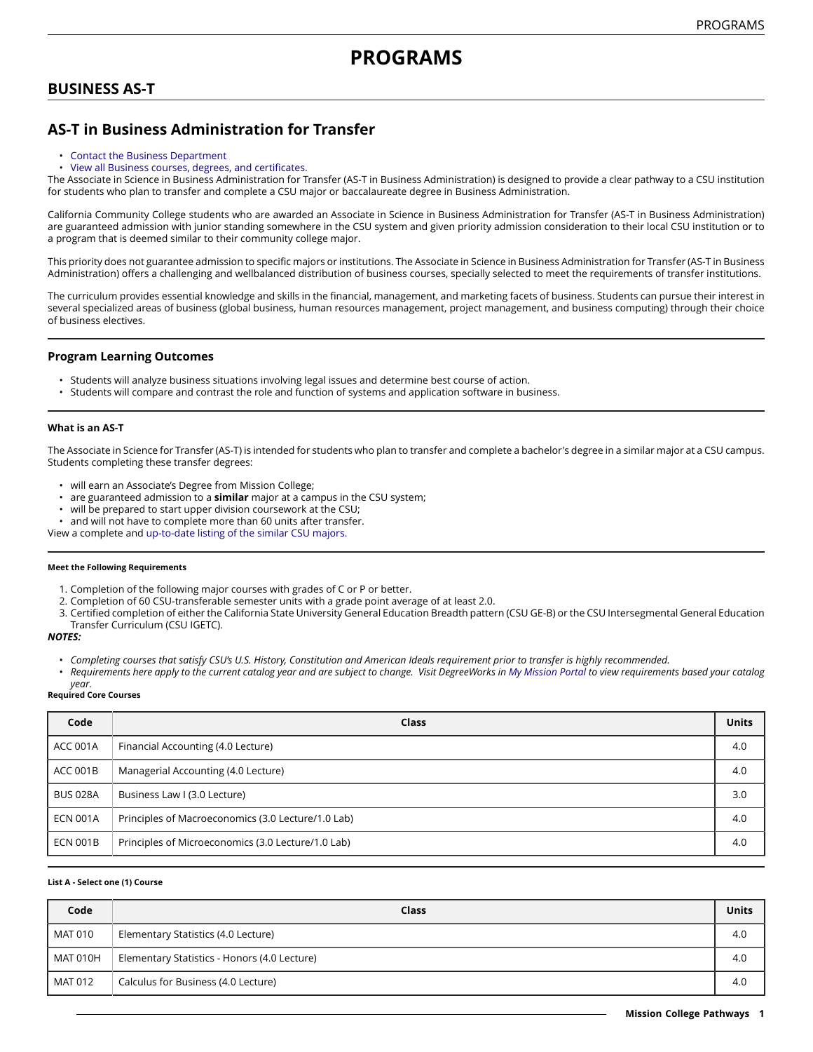# **PROGRAMS**

# **BUSINESS AS-T**

# **AS-T in Business Administration for Transfer**

- [Contact the Business Department](https://missioncollege.edu/depts/business/index.html)
- View all Business courses, degrees, and [certificates.](http://majors.missioncollege.edu/current/courses/bus.html)

The Associate in Science in Business Administration for Transfer (AS-T in Business Administration) is designed to provide a clear pathway to a CSU institution for students who plan to transfer and complete a CSU major or baccalaureate degree in Business Administration.

California Community College students who are awarded an Associate in Science in Business Administration for Transfer (AS-T in Business Administration) are guaranteed admission with junior standing somewhere in the CSU system and given priority admission consideration to their local CSU institution or to a program that is deemed similar to their community college major.

This priority does not guarantee admission to specific majors or institutions. The Associate in Science in Business Administration for Transfer (AS-T in Business Administration) offers a challenging and wellbalanced distribution of business courses, specially selected to meet the requirements of transfer institutions.

The curriculum provides essential knowledge and skills in the financial, management, and marketing facets of business. Students can pursue their interest in several specialized areas of business (global business, human resources management, project management, and business computing) through their choice of business electives.

### **Program Learning Outcomes**

- Students will analyze business situations involving legal issues and determine best course of action.
- Students will compare and contrast the role and function of systems and application software in business.

#### **What is an AS-T**

The Associate in Science for Transfer (AS-T) is intended for students who plan to transfer and complete a bachelor's degree in a similar major at a CSU campus. Students completing these transfer degrees:

- will earn an Associate's Degree from Mission College;
- are guaranteed admission to a **similar** major at a campus in the CSU system;
- will be prepared to start upper division coursework at the CSU;
- and will not have to complete more than 60 units after transfer.

View a complete and [up-to-date listing of the similar CSU majors.](http://www.adegreewithaguarantee.com/)

#### **Meet the Following Requirements**

- 1. Completion of the following major courses with grades of C or P or better.
- 2. Completion of 60 CSU-transferable semester units with a grade point average of at least 2.0.
- 3. Certified completion of either the California State University General Education Breadth pattern (CSU GE-B) or the CSU Intersegmental General Education Transfer Curriculum (CSU IGETC).

*NOTES:*

- Completing courses that satisfy CSU's U.S. History, Constitution and American Ideals requirement prior to transfer is highly recommended.
- Requirements here apply to the current catalog year and are subject to change. Visit DegreeWorks in [My Mission Portal](https://wvmccd.sharepoint.com/sites/MCPortal) to view requirements based your catalog *year.*

**Required Core Courses**

| Code            | <b>Class</b>                                       | <b>Units</b> |
|-----------------|----------------------------------------------------|--------------|
| <b>ACC 001A</b> | Financial Accounting (4.0 Lecture)                 | 4.0          |
| <b>ACC 001B</b> | Managerial Accounting (4.0 Lecture)                | 4.0          |
| <b>BUS 028A</b> | Business Law I (3.0 Lecture)                       | 3.0          |
| <b>ECN 001A</b> | Principles of Macroeconomics (3.0 Lecture/1.0 Lab) | 4.0          |
| <b>ECN 001B</b> | Principles of Microeconomics (3.0 Lecture/1.0 Lab) | 4.0          |

#### **List A - Select one (1) Course**

| Code     | Class                                        | Units |
|----------|----------------------------------------------|-------|
| MAT 010  | Elementary Statistics (4.0 Lecture)          | 4.0   |
| MAT 010H | Elementary Statistics - Honors (4.0 Lecture) | 4.0   |
| MAT 012  | Calculus for Business (4.0 Lecture)          | 4.0   |